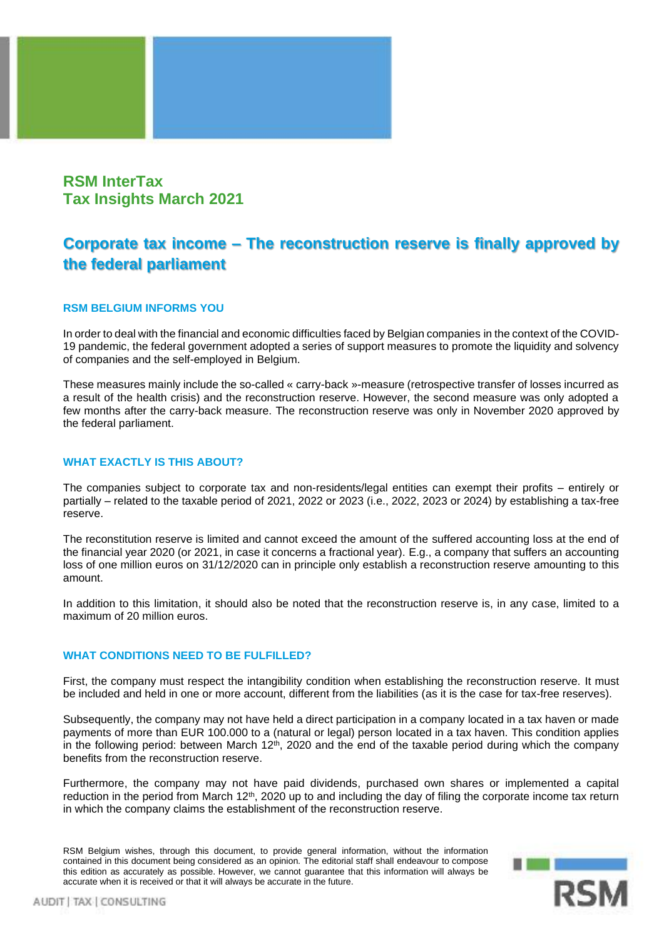# **RSM InterTax Tax Insights March 2021**

# **Corporate tax income – The reconstruction reserve is finally approved by the federal parliament**

# **RSM BELGIUM INFORMS YOU**

In order to deal with the financial and economic difficulties faced by Belgian companies in the context of the COVID-19 pandemic, the federal government adopted a series of support measures to promote the liquidity and solvency of companies and the self-employed in Belgium.

These measures mainly include the so-called « carry-back »-measure (retrospective transfer of losses incurred as a result of the health crisis) and the reconstruction reserve. However, the second measure was only adopted a few months after the carry-back measure. The reconstruction reserve was only in November 2020 approved by the federal parliament.

## **WHAT EXACTLY IS THIS ABOUT?**

The companies subject to corporate tax and non-residents/legal entities can exempt their profits – entirely or partially – related to the taxable period of 2021, 2022 or 2023 (i.e., 2022, 2023 or 2024) by establishing a tax-free reserve.

The reconstitution reserve is limited and cannot exceed the amount of the suffered accounting loss at the end of the financial year 2020 (or 2021, in case it concerns a fractional year). E.g., a company that suffers an accounting loss of one million euros on 31/12/2020 can in principle only establish a reconstruction reserve amounting to this amount.

In addition to this limitation, it should also be noted that the reconstruction reserve is, in any case, limited to a maximum of 20 million euros.

### **WHAT CONDITIONS NEED TO BE FULFILLED?**

First, the company must respect the intangibility condition when establishing the reconstruction reserve. It must be included and held in one or more account, different from the liabilities (as it is the case for tax-free reserves).

Subsequently, the company may not have held a direct participation in a company located in a tax haven or made payments of more than EUR 100.000 to a (natural or legal) person located in a tax haven. This condition applies in the following period: between March 12<sup>th</sup>, 2020 and the end of the taxable period during which the company benefits from the reconstruction reserve.

Furthermore, the company may not have paid dividends, purchased own shares or implemented a capital reduction in the period from March 12<sup>th</sup>, 2020 up to and including the day of filing the corporate income tax return in which the company claims the establishment of the reconstruction reserve.

RSM Belgium wishes, through this document, to provide general information, without the information contained in this document being considered as an opinion. The editorial staff shall endeavour to compose this edition as accurately as possible. However, we cannot guarantee that this information will always be accurate when it is received or that it will always be accurate in the future.